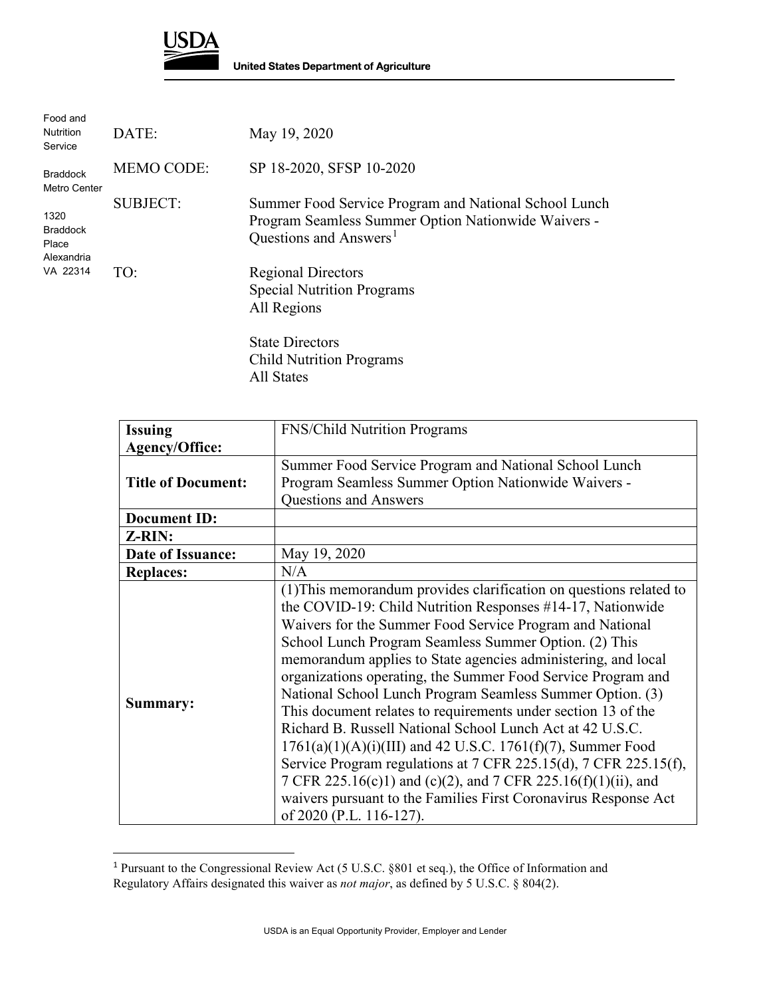

| Food and<br><b>Nutrition</b><br>Service                    | DATE:             | May 19, 2020                                                                                                                                       |
|------------------------------------------------------------|-------------------|----------------------------------------------------------------------------------------------------------------------------------------------------|
| <b>Braddock</b><br>Metro Center                            | <b>MEMO CODE:</b> | SP 18-2020, SFSP 10-2020                                                                                                                           |
| 1320<br><b>Braddock</b><br>Place<br>Alexandria<br>VA 22314 | <b>SUBJECT:</b>   | Summer Food Service Program and National School Lunch<br>Program Seamless Summer Option Nationwide Waivers -<br>Questions and Answers <sup>1</sup> |
|                                                            | TO:               | <b>Regional Directors</b><br><b>Special Nutrition Programs</b><br>All Regions<br><b>State Directors</b><br><b>Child Nutrition Programs</b>         |

All States

| <b>Issuing</b>            | <b>FNS/Child Nutrition Programs</b>                                                                                                                                                                                                                                                                                                                                                                                                                                                                                                                                                                                                                                                                                                                                                                                                                                                      |
|---------------------------|------------------------------------------------------------------------------------------------------------------------------------------------------------------------------------------------------------------------------------------------------------------------------------------------------------------------------------------------------------------------------------------------------------------------------------------------------------------------------------------------------------------------------------------------------------------------------------------------------------------------------------------------------------------------------------------------------------------------------------------------------------------------------------------------------------------------------------------------------------------------------------------|
| <b>Agency/Office:</b>     |                                                                                                                                                                                                                                                                                                                                                                                                                                                                                                                                                                                                                                                                                                                                                                                                                                                                                          |
|                           | Summer Food Service Program and National School Lunch                                                                                                                                                                                                                                                                                                                                                                                                                                                                                                                                                                                                                                                                                                                                                                                                                                    |
| <b>Title of Document:</b> | Program Seamless Summer Option Nationwide Waivers -                                                                                                                                                                                                                                                                                                                                                                                                                                                                                                                                                                                                                                                                                                                                                                                                                                      |
|                           | Questions and Answers                                                                                                                                                                                                                                                                                                                                                                                                                                                                                                                                                                                                                                                                                                                                                                                                                                                                    |
| <b>Document ID:</b>       |                                                                                                                                                                                                                                                                                                                                                                                                                                                                                                                                                                                                                                                                                                                                                                                                                                                                                          |
| Z-RIN:                    |                                                                                                                                                                                                                                                                                                                                                                                                                                                                                                                                                                                                                                                                                                                                                                                                                                                                                          |
| Date of Issuance:         | May 19, 2020                                                                                                                                                                                                                                                                                                                                                                                                                                                                                                                                                                                                                                                                                                                                                                                                                                                                             |
| <b>Replaces:</b>          | N/A                                                                                                                                                                                                                                                                                                                                                                                                                                                                                                                                                                                                                                                                                                                                                                                                                                                                                      |
| Summary:                  | (1) This memorandum provides clarification on questions related to<br>the COVID-19: Child Nutrition Responses #14-17, Nationwide<br>Waivers for the Summer Food Service Program and National<br>School Lunch Program Seamless Summer Option. (2) This<br>memorandum applies to State agencies administering, and local<br>organizations operating, the Summer Food Service Program and<br>National School Lunch Program Seamless Summer Option. (3)<br>This document relates to requirements under section 13 of the<br>Richard B. Russell National School Lunch Act at 42 U.S.C.<br>$1761(a)(1)(A)(i)(III)$ and 42 U.S.C. $1761(f)(7)$ , Summer Food<br>Service Program regulations at 7 CFR 225.15(d), 7 CFR 225.15(f),<br>7 CFR 225.16(c)1) and (c)(2), and 7 CFR 225.16(f)(1)(ii), and<br>waivers pursuant to the Families First Coronavirus Response Act<br>of 2020 (P.L. 116-127). |

<span id="page-0-0"></span><sup>&</sup>lt;sup>1</sup> Pursuant to the Congressional Review Act (5 U.S.C. §801 et seq.), the Office of Information and Regulatory Affairs designated this waiver as *not major*, as defined by 5 U.S.C. § 804(2).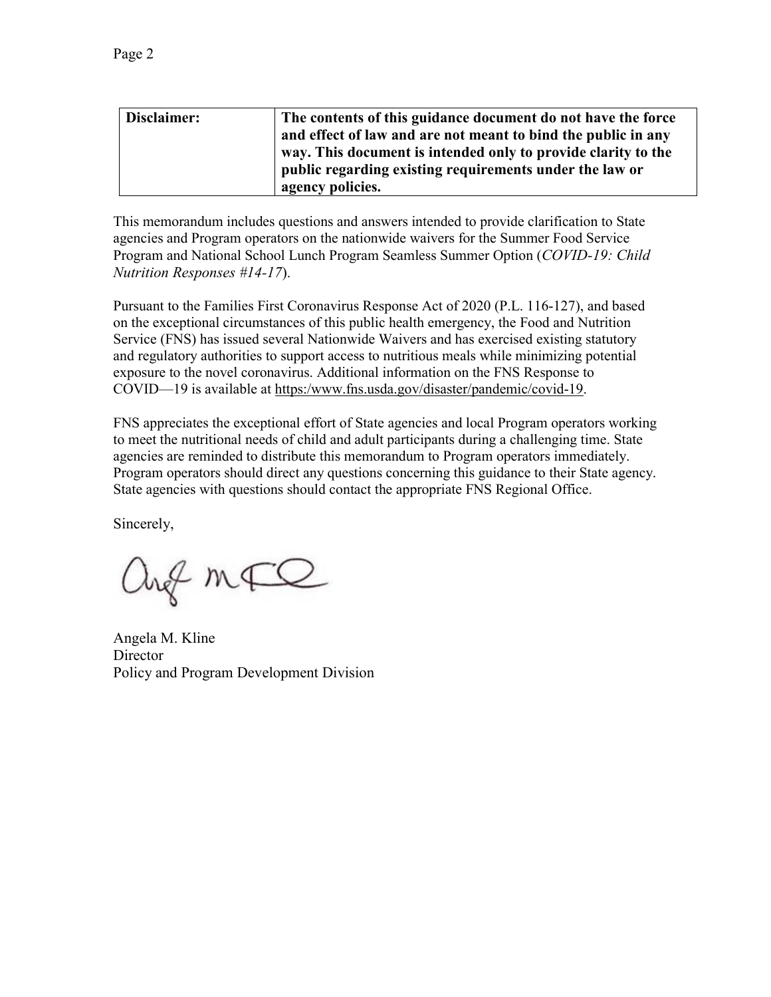| Disclaimer: | The contents of this guidance document do not have the force  |
|-------------|---------------------------------------------------------------|
|             | and effect of law and are not meant to bind the public in any |
|             | way. This document is intended only to provide clarity to the |
|             | public regarding existing requirements under the law or       |
|             | agency policies.                                              |

This memorandum includes questions and answers intended to provide clarification to State agencies and Program operators on the nationwide waivers for the Summer Food Service Program and National School Lunch Program Seamless Summer Option (*COVID-19: Child Nutrition Responses #14-17*).

Pursuant to the Families First Coronavirus Response Act of 2020 (P.L. 116-127), and based on the exceptional circumstances of this public health emergency, the Food and Nutrition Service (FNS) has issued several Nationwide Waivers and has exercised existing statutory and regulatory authorities to support access to nutritious meals while minimizing potential exposure to the novel coronavirus. Additional information on the FNS Response to COVID—19 is available at [https:/www.fns.usda.gov/disaster/pandemic/covid-19.](https://www.fns.usda.gov/disaster/pandemic/covid-19)

FNS appreciates the exceptional effort of State agencies and local Program operators working to meet the nutritional needs of child and adult participants during a challenging time. State agencies are reminded to distribute this memorandum to Program operators immediately. Program operators should direct any questions concerning this guidance to their State agency. State agencies with questions should contact the appropriate FNS Regional Office.

Sincerely,

ang mFQ

Angela M. Kline **Director** Policy and Program Development Division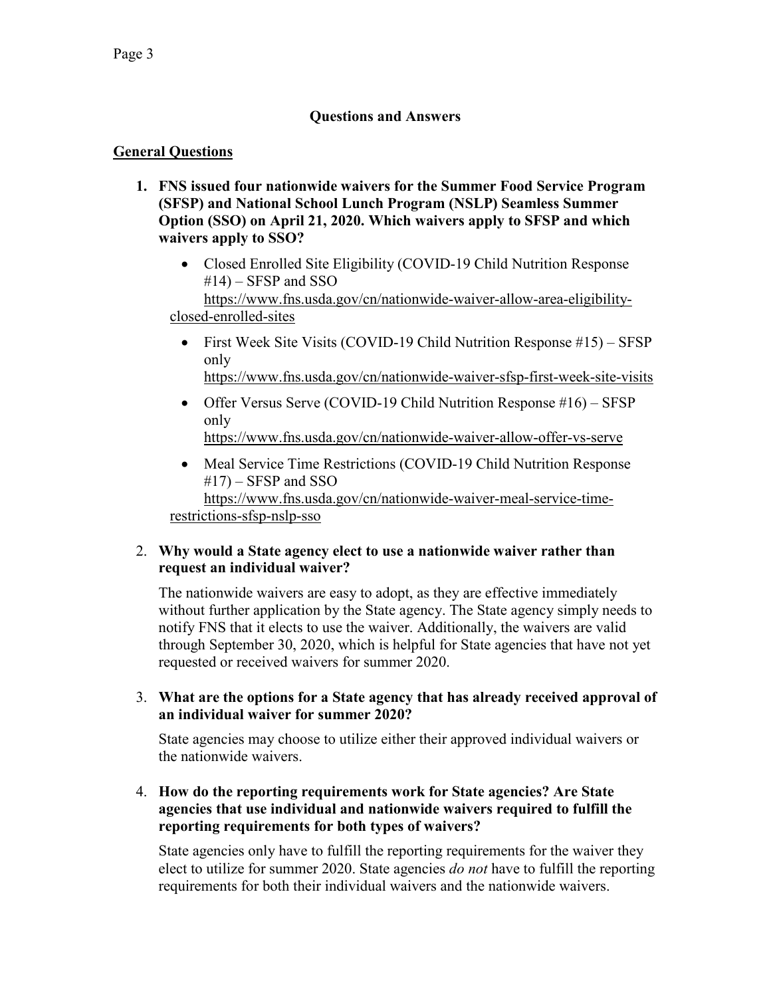# **Questions and Answers**

# **General Questions**

- **1. FNS issued four nationwide waivers for the Summer Food Service Program (SFSP) and National School Lunch Program (NSLP) Seamless Summer Option (SSO) on April 21, 2020. Which waivers apply to SFSP and which waivers apply to SSO?**
	- Closed Enrolled Site Eligibility (COVID-19 Child Nutrition Response  $#14$ ) – SFSP and SSO

[https://www.fns.usda.gov/cn/nationwide-waiver-allow-area-eligibility](https://www.fns.usda.gov/cn/nationwide-waiver-allow-area-eligibility-closed-enrolled-sites)[closed-enrolled-sites](https://www.fns.usda.gov/cn/nationwide-waiver-allow-area-eligibility-closed-enrolled-sites) 

- First Week Site Visits (COVID-19 Child Nutrition Response #15) SFSP only <https://www.fns.usda.gov/cn/nationwide-waiver-sfsp-first-week-site-visits>
- Offer Versus Serve (COVID-19 Child Nutrition Response #16) SFSP only <https://www.fns.usda.gov/cn/nationwide-waiver-allow-offer-vs-serve>
- Meal Service Time Restrictions (COVID-19 Child Nutrition Response  $#17$ ) – SFSP and SSO [https://www.fns.usda.gov/cn/nationwide-waiver-meal-service-time-](https://www.fns.usda.gov/cn/nationwide-waiver-meal-service-time-restrictions-sfsp-nslp-sso)

[restrictions-sfsp-nslp-sso](https://www.fns.usda.gov/cn/nationwide-waiver-meal-service-time-restrictions-sfsp-nslp-sso)

### 2. **Why would a State agency elect to use a nationwide waiver rather than request an individual waiver?**

The nationwide waivers are easy to adopt, as they are effective immediately without further application by the State agency. The State agency simply needs to notify FNS that it elects to use the waiver. Additionally, the waivers are valid through September 30, 2020, which is helpful for State agencies that have not yet requested or received waivers for summer 2020.

3. **What are the options for a State agency that has already received approval of an individual waiver for summer 2020?**

State agencies may choose to utilize either their approved individual waivers or the nationwide waivers.

### 4. **How do the reporting requirements work for State agencies? Are State agencies that use individual and nationwide waivers required to fulfill the reporting requirements for both types of waivers?**

State agencies only have to fulfill the reporting requirements for the waiver they elect to utilize for summer 2020. State agencies *do not* have to fulfill the reporting requirements for both their individual waivers and the nationwide waivers.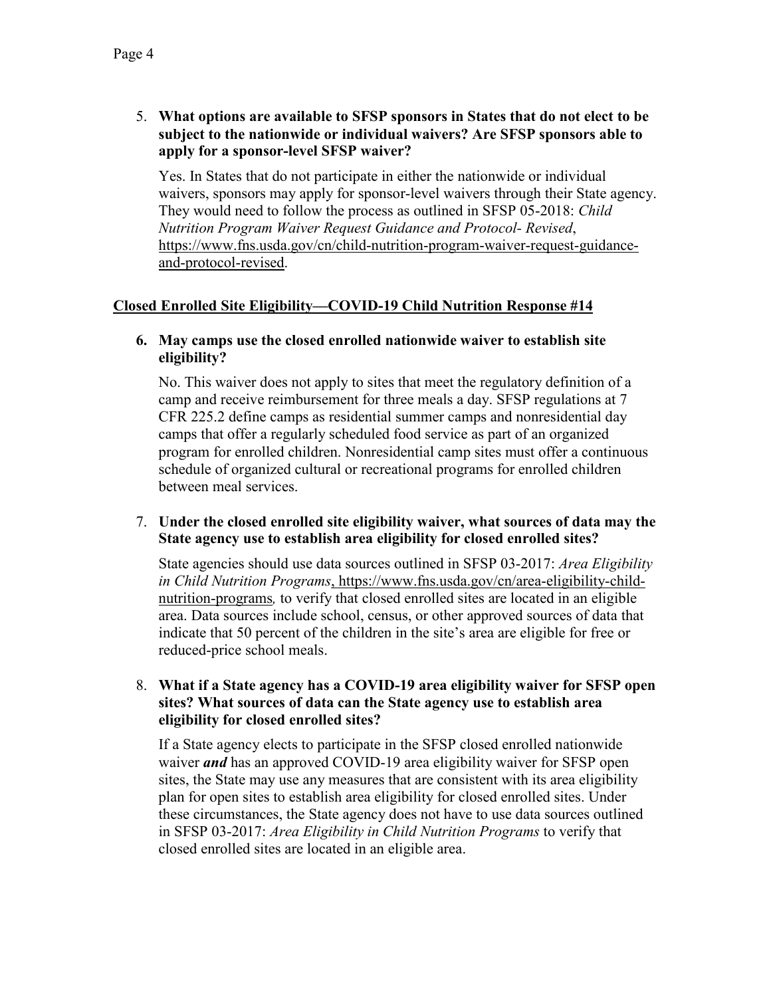5. **What options are available to SFSP sponsors in States that do not elect to be subject to the nationwide or individual waivers? Are SFSP sponsors able to apply for a sponsor-level SFSP waiver?**

Yes. In States that do not participate in either the nationwide or individual waivers, sponsors may apply for sponsor-level waivers through their State agency. They would need to follow the process as outlined in SFSP 05-2018: *Child Nutrition Program Waiver Request Guidance and Protocol- Revised*, [https://www.fns.usda.gov/cn/child-nutrition-program-waiver-request-guidance](https://www.fns.usda.gov/cn/child-nutrition-program-waiver-request-guidance-and-protocol-revised)[and-protocol-revised.](https://www.fns.usda.gov/cn/child-nutrition-program-waiver-request-guidance-and-protocol-revised)

### **Closed Enrolled Site Eligibility—COVID-19 Child Nutrition Response #14**

#### **6. May camps use the closed enrolled nationwide waiver to establish site eligibility?**

No. This waiver does not apply to sites that meet the regulatory definition of a camp and receive reimbursement for three meals a day. SFSP regulations at 7 CFR 225.2 define camps as residential summer camps and nonresidential day camps that offer a regularly scheduled food service as part of an organized program for enrolled children. Nonresidential camp sites must offer a continuous schedule of organized cultural or recreational programs for enrolled children between meal services.

### 7. **Under the closed enrolled site eligibility waiver, what sources of data may the State agency use to establish area eligibility for closed enrolled sites?**

State agencies should use data sources outlined in SFSP 03-2017: *Area Eligibility in Child Nutrition Programs*, [https://www.fns.usda.gov/cn/area-eligibility-child](https://www.fns.usda.gov/cn/area-eligibility-child-nutrition-programs)[nutrition-programs](https://www.fns.usda.gov/cn/area-eligibility-child-nutrition-programs)*,* to verify that closed enrolled sites are located in an eligible area. Data sources include school, census, or other approved sources of data that indicate that 50 percent of the children in the site's area are eligible for free or reduced-price school meals.

#### 8. **What if a State agency has a COVID-19 area eligibility waiver for SFSP open sites? What sources of data can the State agency use to establish area eligibility for closed enrolled sites?**

If a State agency elects to participate in the SFSP closed enrolled nationwide waiver *and* has an approved COVID-19 area eligibility waiver for SFSP open sites, the State may use any measures that are consistent with its area eligibility plan for open sites to establish area eligibility for closed enrolled sites. Under these circumstances, the State agency does not have to use data sources outlined in SFSP 03-2017: *Area Eligibility in Child Nutrition Programs* to verify that closed enrolled sites are located in an eligible area.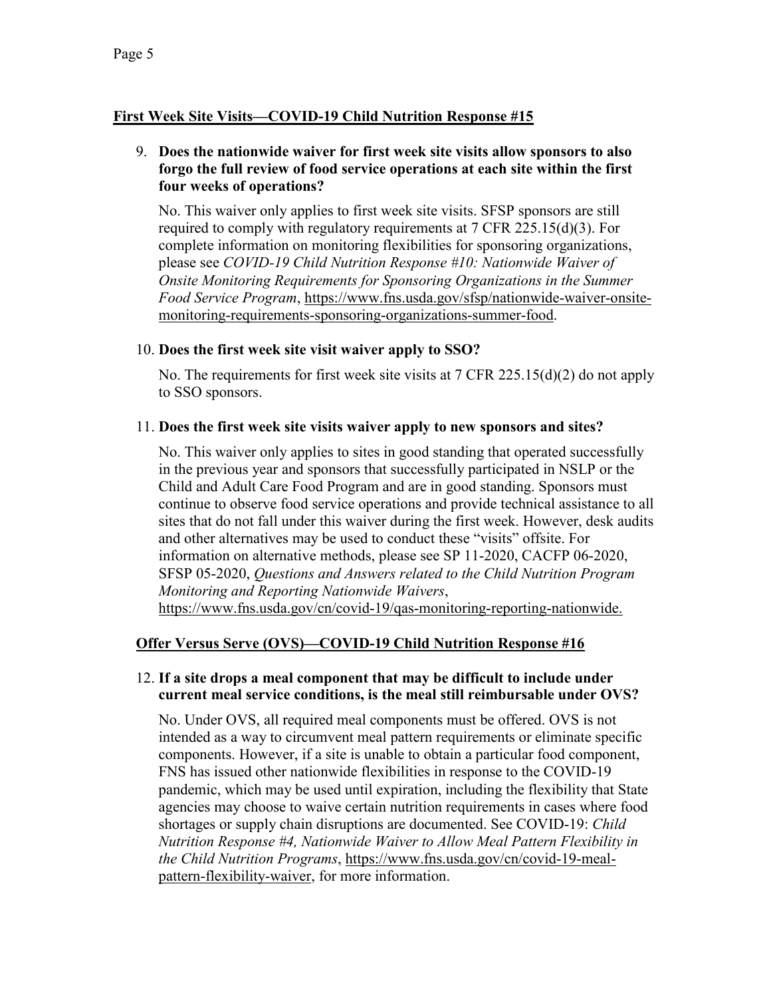# **First Week Site Visits—COVID-19 Child Nutrition Response #15**

### 9. **Does the nationwide waiver for first week site visits allow sponsors to also forgo the full review of food service operations at each site within the first four weeks of operations?**

No. This waiver only applies to first week site visits. SFSP sponsors are still required to comply with regulatory requirements at 7 CFR 225.15(d)(3). For complete information on monitoring flexibilities for sponsoring organizations, please see *COVID-19 Child Nutrition Response #10: Nationwide Waiver of Onsite Monitoring Requirements for Sponsoring Organizations in the Summer Food Service Program*, [https://www.fns.usda.gov/sfsp/nationwide-waiver-onsite](https://www.fns.usda.gov/sfsp/nationwide-waiver-onsite-monitoring-requirements-sponsoring-organizations-summer-food)[monitoring-requirements-sponsoring-organizations-summer-food.](https://www.fns.usda.gov/sfsp/nationwide-waiver-onsite-monitoring-requirements-sponsoring-organizations-summer-food)

#### 10. **Does the first week site visit waiver apply to SSO?**

No. The requirements for first week site visits at 7 CFR 225.15(d)(2) do not apply to SSO sponsors.

### 11. **Does the first week site visits waiver apply to new sponsors and sites?**

No. This waiver only applies to sites in good standing that operated successfully in the previous year and sponsors that successfully participated in NSLP or the Child and Adult Care Food Program and are in good standing. Sponsors must continue to observe food service operations and provide technical assistance to all sites that do not fall under this waiver during the first week. However, desk audits and other alternatives may be used to conduct these "visits" offsite. For information on alternative methods, please see SP 11-2020, CACFP 06-2020, SFSP 05-2020, *Questions and Answers related to the Child Nutrition Program Monitoring and Reporting Nationwide Waivers*, [https://www.fns.usda.gov/cn/covid-19/qas-monitoring-reporting-nationwide.](https://www.fns.usda.gov/cn/covid-19/qas-monitoring-reporting-nationwide)

# **Offer Versus Serve (OVS)—COVID-19 Child Nutrition Response #16**

### 12. **If a site drops a meal component that may be difficult to include under current meal service conditions, is the meal still reimbursable under OVS?**

No. Under OVS, all required meal components must be offered. OVS is not intended as a way to circumvent meal pattern requirements or eliminate specific components. However, if a site is unable to obtain a particular food component, FNS has issued other nationwide flexibilities in response to the COVID-19 pandemic, which may be used until expiration, including the flexibility that State agencies may choose to waive certain nutrition requirements in cases where food shortages or supply chain disruptions are documented. See COVID-19: *Child Nutrition Response #4, Nationwide Waiver to Allow Meal Pattern Flexibility in the Child Nutrition Programs*, [https://www.fns.usda.gov/cn/covid-19-meal](https://www.fns.usda.gov/cn/covid-19-meal-pattern-flexibility-waiver)[pattern-flexibility-waiver,](https://www.fns.usda.gov/cn/covid-19-meal-pattern-flexibility-waiver) for more information.